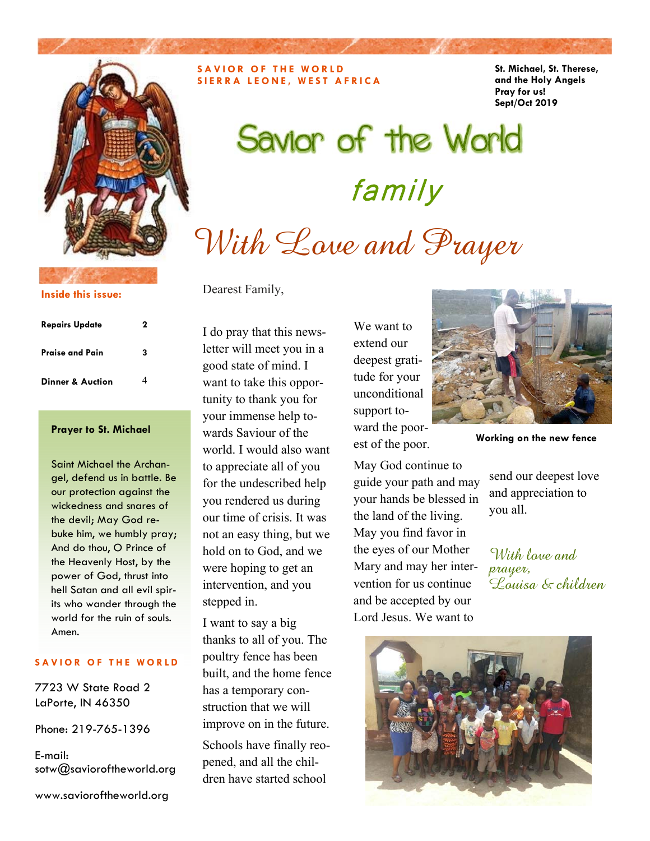

**Inside this issue:**

#### **Repairs Update 2 Praise and Pain 3 Dinner & Auction** 4

Saint Michael the Archangel, defend us in battle. Be our protection against the wickedness and snares of the devil; May God rebuke him, we humbly pray; And do thou, O Prince of the Heavenly Host, by the power of God, thrust into hell Satan and all evil spirits who wander through the world for the ruin of souls. Amen.

#### **SAVIOR OF THE WORLD**

7723 W State Road 2 LaPorte, IN 46350

Phone: 219-765-1396

E-mail: sotw@savioroftheworld.org

www.savioroftheworld.org

**SAVIOR OF THE WORLD SIERRA LEONE, WEST AFRICA**  **St. Michael, St. Therese, and the Holy Angels Pray for us! Sept/Oct 2019** 

# Savior of the World family With Love and Prayer

Dearest Family,

I do pray that this newsletter will meet you in a good state of mind. I want to take this opportunity to thank you for your immense help towards Saviour of the world. I would also want to appreciate all of you for the undescribed help you rendered us during our time of crisis. It was not an easy thing, but we hold on to God, and we were hoping to get an intervention, and you stepped in. **Prayer to St. Michael** wards Saviour of the ward the poor-<br> **Working on the new fence** 

> I want to say a big thanks to all of you. The poultry fence has been built, and the home fence has a temporary construction that we will improve on in the future. Schools have finally reopened, and all the chil-

dren have started school

We want to extend our deepest gratitude for your unconditional support toward the poorest of the poor.



May God continue to guide your path and may your hands be blessed in the land of the living. May you find favor in the eyes of our Mother Mary and may her intervention for us continue and be accepted by our Lord Jesus. We want to

send our deepest love and appreciation to you all.

With love and  $p_1$ Louisa & children

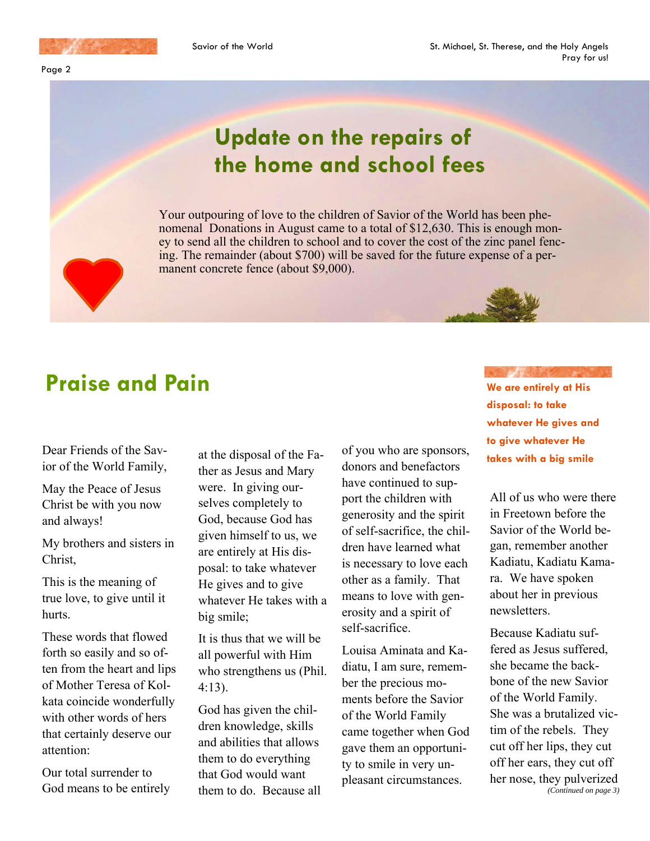

Page 2

## **Update on the repairs of the home and school fees**

Your outpouring of love to the children of Savior of the World has been phenomenal Donations in August came to a total of \$12,630. This is enough money to send all the children to school and to cover the cost of the zinc panel fencing. The remainder (about \$700) will be saved for the future expense of a permanent concrete fence (about \$9,000).

### **Praise and Pain**

Dear Friends of the Savior of the World Family,

May the Peace of Jesus Christ be with you now and always!

My brothers and sisters in Christ,

This is the meaning of true love, to give until it hurts.

These words that flowed forth so easily and so often from the heart and lips of Mother Teresa of Kolkata coincide wonderfully with other words of hers that certainly deserve our attention:

Our total surrender to God means to be entirely at the disposal of the Father as Jesus and Mary were. In giving ourselves completely to God, because God has given himself to us, we are entirely at His disposal: to take whatever He gives and to give whatever He takes with a big smile;

It is thus that we will be all powerful with Him who strengthens us (Phil. 4:13).

God has given the children knowledge, skills and abilities that allows them to do everything that God would want them to do. Because all

of you who are sponsors, donors and benefactors have continued to support the children with generosity and the spirit of self-sacrifice, the children have learned what is necessary to love each other as a family. That means to love with generosity and a spirit of self-sacrifice.

Louisa Aminata and Kadiatu, I am sure, remember the precious moments before the Savior of the World Family came together when God gave them an opportunity to smile in very unpleasant circumstances.

#### **We are entirely at His disposal: to take whatever He gives and to give whatever He takes with a big smile**

All of us who were there in Freetown before the Savior of the World began, remember another Kadiatu, Kadiatu Kamara. We have spoken about her in previous newsletters.

Because Kadiatu suffered as Jesus suffered, she became the backbone of the new Savior of the World Family. She was a brutalized victim of the rebels. They cut off her lips, they cut off her ears, they cut off her nose, they pulverized *(Continued on page 3)*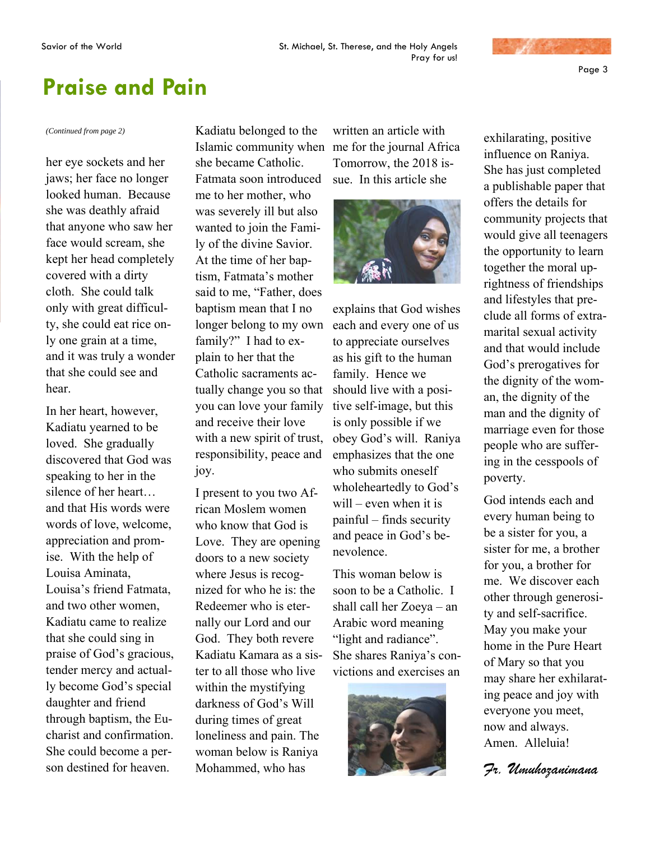

### **Praise and Pain**

her eye sockets and her jaws; her face no longer looked human. Because she was deathly afraid that anyone who saw her face would scream, she kept her head completely covered with a dirty cloth. She could talk only with great difficulty, she could eat rice only one grain at a time, and it was truly a wonder that she could see and hear.

In her heart, however, Kadiatu yearned to be loved. She gradually discovered that God was speaking to her in the silence of her heart… and that His words were words of love, welcome, appreciation and promise. With the help of Louisa Aminata, Louisa's friend Fatmata, and two other women, Kadiatu came to realize that she could sing in praise of God's gracious, tender mercy and actually become God's special daughter and friend through baptism, the Eucharist and confirmation. She could become a person destined for heaven.

*(Continued from page 2)* **Kadiatu belonged to the** Islamic community when me for the journal Africa she became Catholic. Fatmata soon introduced me to her mother, who was severely ill but also wanted to join the Family of the divine Savior. At the time of her baptism, Fatmata's mother said to me, "Father, does baptism mean that I no longer belong to my own family?" I had to explain to her that the Catholic sacraments actually change you so that you can love your family and receive their love with a new spirit of trust, responsibility, peace and joy.

> I present to you two African Moslem women who know that God is Love. They are opening doors to a new society where Jesus is recognized for who he is: the Redeemer who is eternally our Lord and our God. They both revere Kadiatu Kamara as a sister to all those who live within the mystifying darkness of God's Will during times of great loneliness and pain. The woman below is Raniya Mohammed, who has

written an article with Tomorrow, the 2018 issue. In this article she



explains that God wishes each and every one of us to appreciate ourselves as his gift to the human family. Hence we should live with a positive self-image, but this is only possible if we obey God's will. Raniya emphasizes that the one who submits oneself wholeheartedly to God's will – even when it is painful – finds security and peace in God's benevolence.

This woman below is soon to be a Catholic. I shall call her Zoeya – an Arabic word meaning "light and radiance". She shares Raniya's convictions and exercises an



exhilarating, positive influence on Raniya. She has just completed a publishable paper that offers the details for community projects that would give all teenagers the opportunity to learn together the moral uprightness of friendships and lifestyles that preclude all forms of extramarital sexual activity and that would include God's prerogatives for the dignity of the woman, the dignity of the man and the dignity of marriage even for those people who are suffering in the cesspools of poverty.

God intends each and every human being to be a sister for you, a sister for me, a brother for you, a brother for me. We discover each other through generosity and self-sacrifice. May you make your home in the Pure Heart of Mary so that you may share her exhilarating peace and joy with everyone you meet, now and always. Amen. Alleluia!

*Fr. Umuhozanimana*